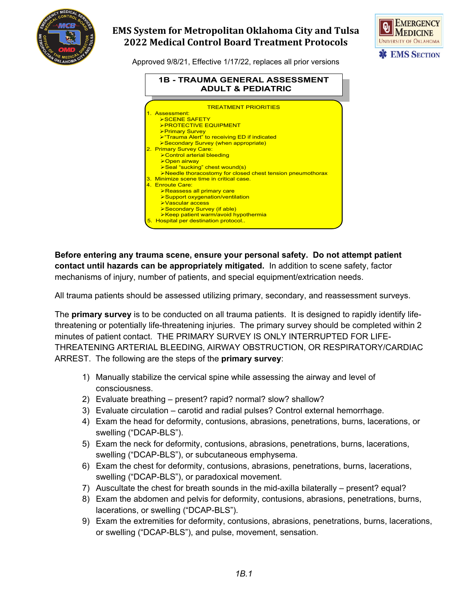

## **EMS System for Metropolitan Oklahoma City and Tulsa 2022 Medical Control Board Treatment Protocols**



Approved 9/8/21, Effective 1/17/22, replaces all prior versions



**Before entering any trauma scene, ensure your personal safety. Do not attempt patient contact until hazards can be appropriately mitigated.** In addition to scene safety, factor mechanisms of injury, number of patients, and special equipment/extrication needs.

All trauma patients should be assessed utilizing primary, secondary, and reassessment surveys.

The **primary survey** is to be conducted on all trauma patients. It is designed to rapidly identify lifethreatening or potentially life-threatening injuries. The primary survey should be completed within 2 minutes of patient contact. THE PRIMARY SURVEY IS ONLY INTERRUPTED FOR LIFE-THREATENING ARTERIAL BLEEDING, AIRWAY OBSTRUCTION, OR RESPIRATORY/CARDIAC ARREST. The following are the steps of the **primary survey**:

- 1) Manually stabilize the cervical spine while assessing the airway and level of consciousness.
- 2) Evaluate breathing present? rapid? normal? slow? shallow?
- 3) Evaluate circulation carotid and radial pulses? Control external hemorrhage.
- 4) Exam the head for deformity, contusions, abrasions, penetrations, burns, lacerations, or swelling ("DCAP-BLS").
- 5) Exam the neck for deformity, contusions, abrasions, penetrations, burns, lacerations, swelling ("DCAP-BLS"), or subcutaneous emphysema.
- 6) Exam the chest for deformity, contusions, abrasions, penetrations, burns, lacerations, swelling ("DCAP-BLS"), or paradoxical movement.
- 7) Auscultate the chest for breath sounds in the mid-axilla bilaterally present? equal?
- 8) Exam the abdomen and pelvis for deformity, contusions, abrasions, penetrations, burns, lacerations, or swelling ("DCAP-BLS").
- 9) Exam the extremities for deformity, contusions, abrasions, penetrations, burns, lacerations, or swelling ("DCAP-BLS"), and pulse, movement, sensation.